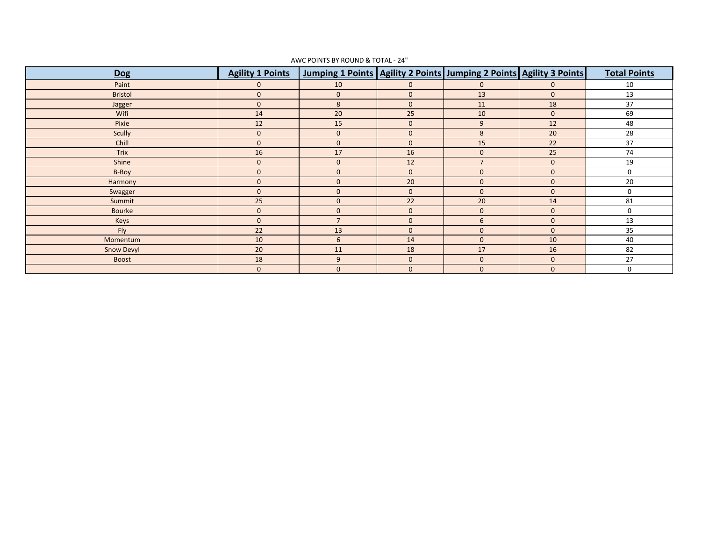| <b>Dog</b>     | <b>Agility 1 Points</b> | Jumping 1 Points   Agility 2 Points   Jumping 2 Points   Agility 3 Points |              |                |              | <b>Total Points</b> |
|----------------|-------------------------|---------------------------------------------------------------------------|--------------|----------------|--------------|---------------------|
| Paint          | $\Omega$                | 10                                                                        | $\mathbf{0}$ | $\mathbf{0}$   | $\mathbf{0}$ | 10                  |
| <b>Bristol</b> | $\mathbf{0}$            | $\mathbf{0}$                                                              | $\mathbf{0}$ | 13             | $\mathbf{0}$ | 13                  |
| Jagger         | $\mathbf{0}$            | 8                                                                         | $\mathbf{0}$ | 11             | 18           | 37                  |
| Wifi           | 14                      | 20                                                                        | 25           | 10             | $\mathbf{0}$ | 69                  |
| Pixie          | 12                      | 15                                                                        | $\mathbf{0}$ | 9              | 12           | 48                  |
| Scully         | $\mathbf{0}$            | $\mathbf 0$                                                               | $\mathbf{0}$ | 8              | 20           | 28                  |
| Chill          | $\mathbf{0}$            | $\mathbf{0}$                                                              | $\mathbf{0}$ | 15             | 22           | 37                  |
| Trix           | 16                      | 17                                                                        | 16           | $\mathbf{0}$   | 25           | 74                  |
| Shine          | $\mathbf{0}$            | $\mathbf 0$                                                               | 12           | $\overline{7}$ | $\mathbf{0}$ | 19                  |
| B-Boy          | $\mathbf{0}$            | $\mathbf{0}$                                                              | $\mathbf{0}$ | $\mathbf 0$    | $\mathbf{0}$ | $\mathbf 0$         |
| Harmony        | $\mathbf{0}$            | $\mathbf 0$                                                               | 20           | $\mathbf 0$    | $\mathbf{0}$ | 20                  |
| Swagger        | $\mathbf{0}$            | $\mathbf 0$                                                               | $\mathbf{0}$ | $\mathbf{0}$   | $\mathbf{0}$ | 0                   |
| Summit         | 25                      | $\mathbf 0$                                                               | 22           | 20             | 14           | 81                  |
| Bourke         | $\mathbf{0}$            | $\mathbf 0$                                                               | $\mathbf{0}$ | $\mathbf 0$    | $\mathbf{0}$ | 0                   |
| Keys           | $\mathbf{0}$            | $\overline{7}$                                                            | $\mathbf{0}$ | 6              | $\mathbf{0}$ | 13                  |
| Fly            | 22                      | 13                                                                        | $\mathbf{0}$ | $\mathbf{0}$   | $\mathbf{0}$ | 35                  |
| Momentum       | 10                      | 6                                                                         | 14           | $\mathbf{0}$   | 10           | 40                  |
| Snow Devyl     | 20                      | 11                                                                        | 18           | 17             | 16           | 82                  |
| <b>Boost</b>   | 18                      | 9                                                                         | $\mathbf{0}$ | $\mathbf 0$    | $\mathbf{0}$ | 27                  |
|                | $\mathbf{0}$            | $\mathbf 0$                                                               | $\mathbf{0}$ | $\mathbf 0$    | $\mathbf{0}$ | 0                   |

## AWC POINTS BY ROUND & TOTAL - 24"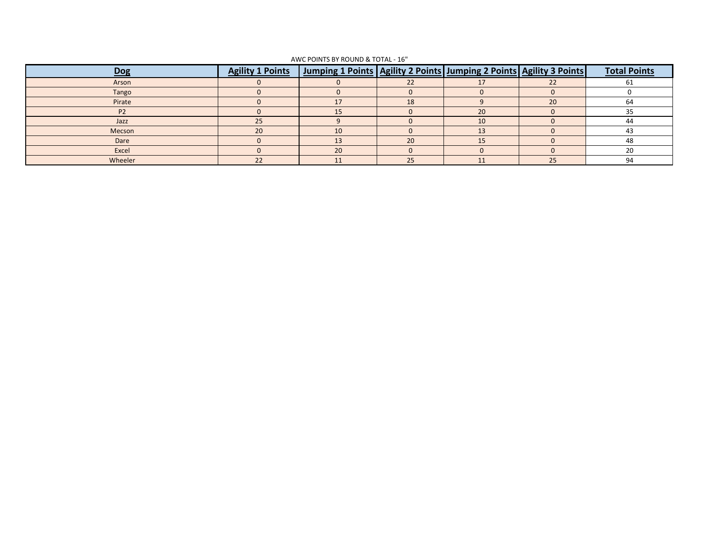| Dog       | <b>Agility 1 Points</b> | <u>  Jumping 1 Points   Agility 2 Points   Jumping 2 Points   Agility 3 Points  </u> |    |                |    | <b>Total Points</b> |
|-----------|-------------------------|--------------------------------------------------------------------------------------|----|----------------|----|---------------------|
| Arson     |                         |                                                                                      |    |                |    | b.                  |
| Tango     |                         |                                                                                      |    |                |    |                     |
| Pirate    |                         |                                                                                      | 18 |                | 20 | 64                  |
| <b>P2</b> |                         |                                                                                      |    | 20             |    |                     |
| Jazz      | 25                      |                                                                                      |    | 10             |    | 44                  |
| Mecson    | 20                      | 10                                                                                   |    | 1 <sup>2</sup> |    | 43                  |
| Dare      |                         |                                                                                      | 20 |                |    | 48                  |
| Excel     |                         | 20                                                                                   |    |                |    | 20                  |
| Wheeler   | 22                      |                                                                                      | 25 |                | 25 | 94                  |

## AWC POINTS BY ROUND & TOTAL - 16"